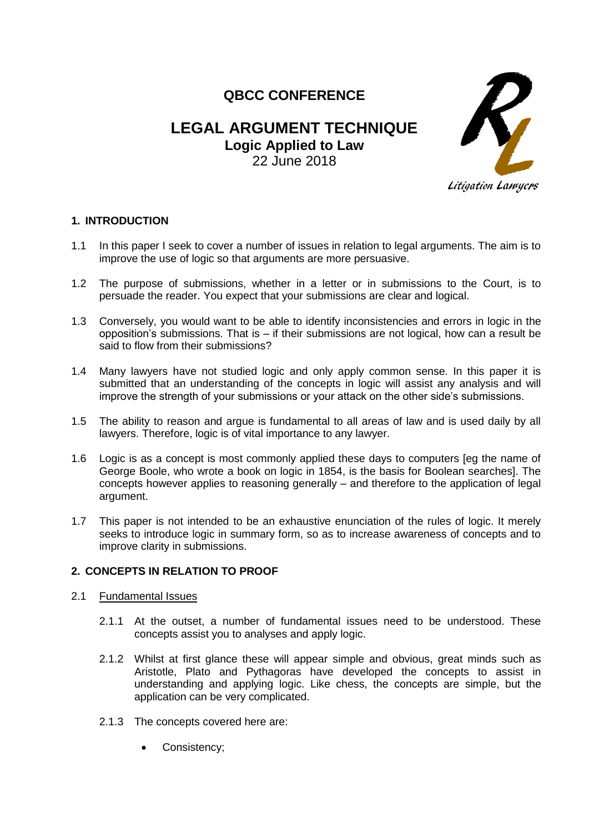# **QBCC CONFERENCE**

# **LEGAL ARGUMENT TECHNIQUE Logic Applied to Law** 22 June 2018



# **1. INTRODUCTION**

- 1.1 In this paper I seek to cover a number of issues in relation to legal arguments. The aim is to improve the use of logic so that arguments are more persuasive.
- 1.2 The purpose of submissions, whether in a letter or in submissions to the Court, is to persuade the reader. You expect that your submissions are clear and logical.
- 1.3 Conversely, you would want to be able to identify inconsistencies and errors in logic in the opposition's submissions. That is – if their submissions are not logical, how can a result be said to flow from their submissions?
- 1.4 Many lawyers have not studied logic and only apply common sense. In this paper it is submitted that an understanding of the concepts in logic will assist any analysis and will improve the strength of your submissions or your attack on the other side's submissions.
- 1.5 The ability to reason and argue is fundamental to all areas of law and is used daily by all lawyers. Therefore, logic is of vital importance to any lawyer.
- 1.6 Logic is as a concept is most commonly applied these days to computers [eg the name of George Boole, who wrote a book on logic in 1854, is the basis for Boolean searches]. The concepts however applies to reasoning generally – and therefore to the application of legal argument.
- 1.7 This paper is not intended to be an exhaustive enunciation of the rules of logic. It merely seeks to introduce logic in summary form, so as to increase awareness of concepts and to improve clarity in submissions.

# **2. CONCEPTS IN RELATION TO PROOF**

- 2.1 Fundamental Issues
	- 2.1.1 At the outset, a number of fundamental issues need to be understood. These concepts assist you to analyses and apply logic.
	- 2.1.2 Whilst at first glance these will appear simple and obvious, great minds such as Aristotle, Plato and Pythagoras have developed the concepts to assist in understanding and applying logic. Like chess, the concepts are simple, but the application can be very complicated.
	- 2.1.3 The concepts covered here are:
		- Consistency;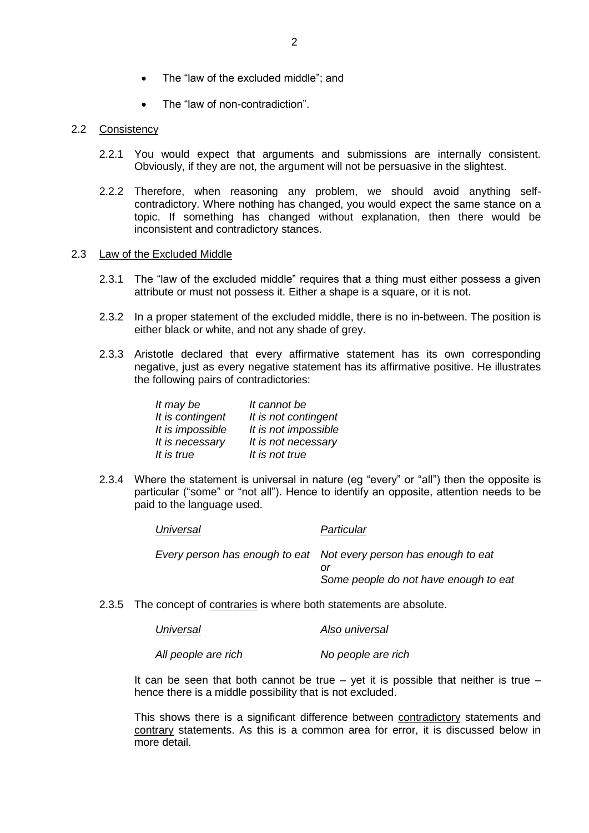- The "law of the excluded middle"; and
- The "law of non-contradiction".

# 2.2 Consistency

- 2.2.1 You would expect that arguments and submissions are internally consistent. Obviously, if they are not, the argument will not be persuasive in the slightest.
- 2.2.2 Therefore, when reasoning any problem, we should avoid anything selfcontradictory. Where nothing has changed, you would expect the same stance on a topic. If something has changed without explanation, then there would be inconsistent and contradictory stances.

#### 2.3 Law of the Excluded Middle

- 2.3.1 The "law of the excluded middle" requires that a thing must either possess a given attribute or must not possess it. Either a shape is a square, or it is not.
- 2.3.2 In a proper statement of the excluded middle, there is no in-between. The position is either black or white, and not any shade of grey.
- 2.3.3 Aristotle declared that every affirmative statement has its own corresponding negative, just as every negative statement has its affirmative positive. He illustrates the following pairs of contradictories:

| It may be        | It cannot be         |
|------------------|----------------------|
| It is contingent | It is not contingent |
| It is impossible | It is not impossible |
| It is necessary  | It is not necessary  |
| It is true       | It is not true       |

2.3.4 Where the statement is universal in nature (eg "every" or "all") then the opposite is particular ("some" or "not all"). Hence to identify an opposite, attention needs to be paid to the language used.

| Universal | Particular                                                                                                 |
|-----------|------------------------------------------------------------------------------------------------------------|
|           | Every person has enough to eat Not every person has enough to eat<br>Some people do not have enough to eat |

2.3.5 The concept of contraries is where both statements are absolute.

| Universal | Also universal |
|-----------|----------------|
|           |                |

*All people are rich No people are rich*

It can be seen that both cannot be true – yet it is possible that neither is true – hence there is a middle possibility that is not excluded.

This shows there is a significant difference between contradictory statements and contrary statements. As this is a common area for error, it is discussed below in more detail.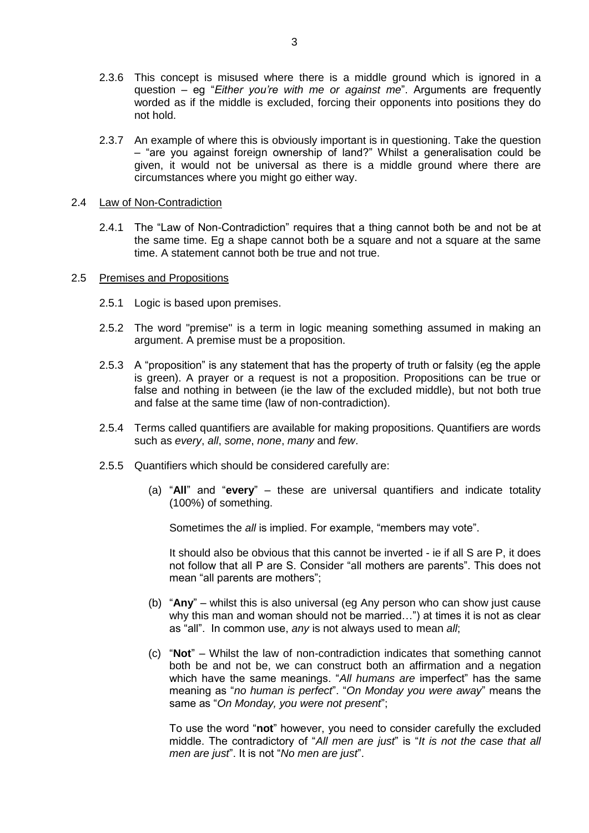- 2.3.6 This concept is misused where there is a middle ground which is ignored in a question – eg "*Either you're with me or against me*". Arguments are frequently worded as if the middle is excluded, forcing their opponents into positions they do not hold.
- 2.3.7 An example of where this is obviously important is in questioning. Take the question – "are you against foreign ownership of land?" Whilst a generalisation could be given, it would not be universal as there is a middle ground where there are circumstances where you might go either way.

#### 2.4 Law of Non-Contradiction

2.4.1 The "Law of Non-Contradiction" requires that a thing cannot both be and not be at the same time. Eg a shape cannot both be a square and not a square at the same time. A statement cannot both be true and not true.

#### 2.5 Premises and Propositions

- 2.5.1 Logic is based upon premises.
- 2.5.2 The word ["premise"](http://en.wikipedia.org/wiki/Premise_%28argument%29) is a term in logic meaning something assumed in making an [argument.](http://en.wikipedia.org/wiki/Argument) A premise must be a proposition.
- 2.5.3 A "proposition" is any statement that has the property of truth or falsity (eg the apple is green). A prayer or a request is not a proposition. Propositions can be true or false and nothing in between (ie the law of the excluded middle), but not both true and false at the same time (law of non-contradiction).
- 2.5.4 Terms called quantifiers are available for making propositions. Quantifiers are words such as *every*, *all*, *some*, *none*, *many* and *few*.
- 2.5.5 Quantifiers which should be considered carefully are:
	- (a) "**All**" and "**every**" these are universal quantifiers and indicate totality (100%) of something.

Sometimes the *all* is implied. For example, "members may vote".

It should also be obvious that this cannot be inverted - ie if all S are P, it does not follow that all P are S. Consider "all mothers are parents". This does not mean "all parents are mothers";

- (b) "**Any**" whilst this is also universal (eg Any person who can show just cause why this man and woman should not be married...") at times it is not as clear as "all". In common use, *any* is not always used to mean *all*;
- (c) "**Not**" Whilst the law of non-contradiction indicates that something cannot both be and not be, we can construct both an affirmation and a negation which have the same meanings. "*All humans are* imperfect" has the same meaning as "*no human is perfect*". "*On Monday you were away*" means the same as "*On Monday, you were not present*";

To use the word "**not**" however, you need to consider carefully the excluded middle. The contradictory of "*All men are just*" is "*It is not the case that all men are just*". It is not "*No men are just*".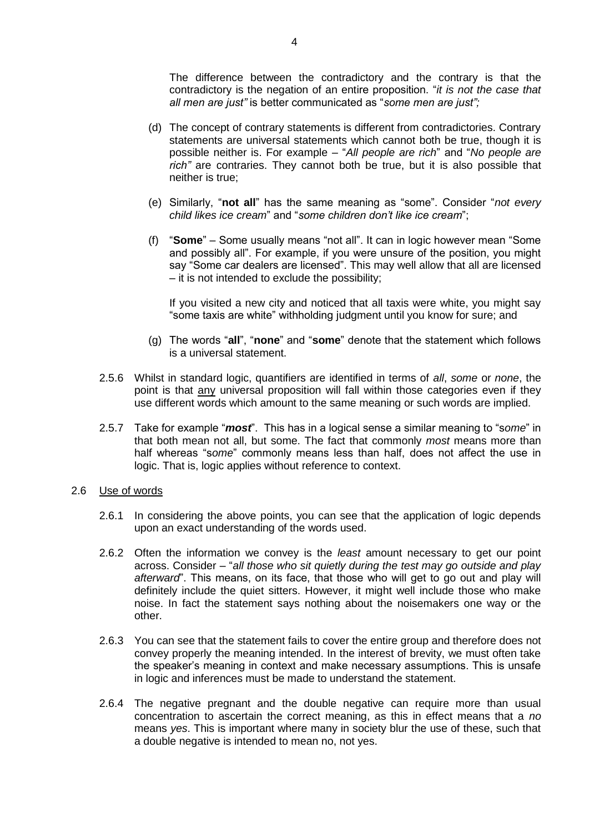The difference between the contradictory and the contrary is that the contradictory is the negation of an entire proposition. "*it is not the case that all men are just"* is better communicated as "*some men are just";* 

- (d) The concept of contrary statements is different from contradictories. Contrary statements are universal statements which cannot both be true, though it is possible neither is. For example – "*All people are rich*" and "*No people are rich"* are contraries. They cannot both be true, but it is also possible that neither is true;
- (e) Similarly, "**not all**" has the same meaning as "some". Consider "*not every child likes ice cream*" and "*some children don't like ice cream*";
- (f) "**Some**" Some usually means "not all". It can in logic however mean "Some and possibly all". For example, if you were unsure of the position, you might say "Some car dealers are licensed". This may well allow that all are licensed – it is not intended to exclude the possibility;

If you visited a new city and noticed that all taxis were white, you might say "some taxis are white" withholding judgment until you know for sure; and

- (g) The words "**all**", "**none**" and "**some**" denote that the statement which follows is a universal statement.
- 2.5.6 Whilst in standard logic, quantifiers are identified in terms of *all*, *some* or *none*, the point is that any universal proposition will fall within those categories even if they use different words which amount to the same meaning or such words are implied.
- 2.5.7 Take for example "*most*". This has in a logical sense a similar meaning to "s*ome*" in that both mean not all, but some. The fact that commonly *most* means more than half whereas "s*ome*" commonly means less than half, does not affect the use in logic. That is, logic applies without reference to context.
- 2.6 Use of words
	- 2.6.1 In considering the above points, you can see that the application of logic depends upon an exact understanding of the words used.
	- 2.6.2 Often the information we convey is the *least* amount necessary to get our point across. Consider – "*all those who sit quietly during the test may go outside and play afterward*". This means, on its face, that those who will get to go out and play will definitely include the quiet sitters. However, it might well include those who make noise. In fact the statement says nothing about the noisemakers one way or the other.
	- 2.6.3 You can see that the statement fails to cover the entire group and therefore does not convey properly the meaning intended. In the interest of brevity, we must often take the speaker's meaning in context and make necessary assumptions. This is unsafe in logic and inferences must be made to understand the statement.
	- 2.6.4 The negative pregnant and the double negative can require more than usual concentration to ascertain the correct meaning, as this in effect means that a *no*  means *yes*. This is important where many in society blur the use of these, such that a double negative is intended to mean no, not yes.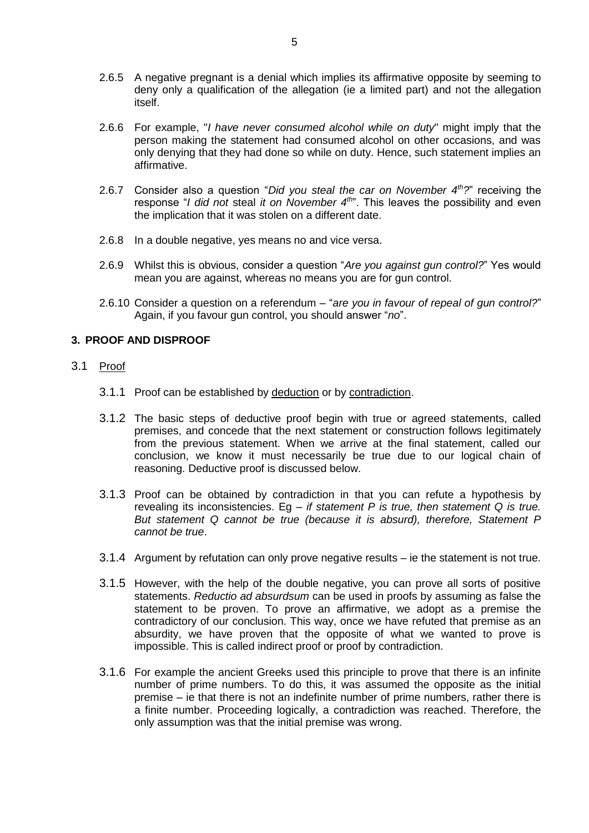- 2.6.5 A negative pregnant is a denial which implies its affirmative opposite by seeming to deny only a qualification of the allegation (ie a limited part) and not the allegation itself.
- 2.6.6 For example, "*I have never consumed alcohol while on duty*" might imply that the person making the statement had consumed alcohol on other occasions, and was only denying that they had done so while on duty. Hence, such statement implies an affirmative.
- 2.6.7 Consider also a question "*Did you steal the car on November 4th?*" receiving the response "*I did not* steal *it on November 4th*". This leaves the possibility and even the implication that it was stolen on a different date.
- 2.6.8 In a double negative, yes means no and vice versa.
- 2.6.9 Whilst this is obvious, consider a question "*Are you against gun control?*" Yes would mean you are against, whereas no means you are for gun control.
- 2.6.10 Consider a question on a referendum "*are you in favour of repeal of gun control?*" Again, if you favour gun control, you should answer "*no*".

# **3. PROOF AND DISPROOF**

- 3.1 Proof
	- 3.1.1 Proof can be established by deduction or by contradiction.
	- 3.1.2 The basic steps of deductive proof begin with true or agreed statements, called premises, and concede that the next statement or construction follows legitimately from the previous statement. When we arrive at the final statement, called our conclusion, we know it must necessarily be true due to our logical chain of reasoning. Deductive proof is discussed below.
	- 3.1.3 Proof can be obtained by contradiction in that you can refute a hypothesis by revealing its inconsistencies. Eg *– if statement P is true, then statement Q is true. But statement Q cannot be true (because it is absurd), therefore, Statement P cannot be true*.
	- 3.1.4 Argument by refutation can only prove negative results ie the statement is not true.
	- 3.1.5 However, with the help of the double negative, you can prove all sorts of positive statements. *Reductio ad absurdsum* can be used in proofs by assuming as false the statement to be proven. To prove an affirmative, we adopt as a premise the contradictory of our conclusion. This way, once we have refuted that premise as an absurdity, we have proven that the opposite of what we wanted to prove is impossible. This is called indirect proof or proof by contradiction.
	- 3.1.6 For example the ancient Greeks used this principle to prove that there is an infinite number of prime numbers. To do this, it was assumed the opposite as the initial premise – ie that there is not an indefinite number of prime numbers, rather there is a finite number. Proceeding logically, a contradiction was reached. Therefore, the only assumption was that the initial premise was wrong.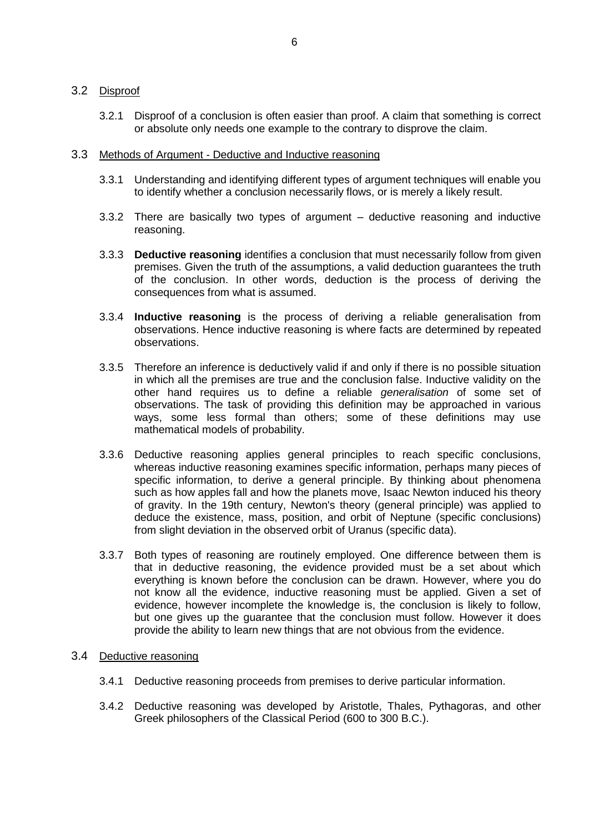# 3.2 Disproof

- 3.2.1 Disproof of a conclusion is often easier than proof. A claim that something is correct or absolute only needs one example to the contrary to disprove the claim.
- 3.3 Methods of Argument Deductive and Inductive reasoning
	- 3.3.1 Understanding and identifying different types of argument techniques will enable you to identify whether a conclusion necessarily flows, or is merely a likely result.
	- 3.3.2 There are basically two types of argument deductive reasoning and inductive reasoning.
	- 3.3.3 **[Deductive reasoning](http://en.wikipedia.org/wiki/Deductive_reasoning)** identifies a conclusion that must necessarily follow from given premises. Given the truth of the assumptions, a valid deduction guarantees the truth of the conclusion. In other words, deduction is the process of deriving the consequences from what is assumed.
	- 3.3.4 **Inductive reasoning** is the process of deriving a reliable generalisation from observations. Hence inductive [reasoning](http://en.wikipedia.org/wiki/Inductive_reasoning) is where facts are determined by repeated observations.
	- 3.3.5 Therefore an inference is deductively valid if and only if there is no possible situation in which all the premises are true and the conclusion false. Inductive validity on the other hand requires us to define a reliable *generalisation* of some set of observations. The task of providing this definition may be approached in various ways, some less formal than others; some of these definitions may use [mathematical models](http://en.wikipedia.org/wiki/Mathematical_model) of probability.
	- 3.3.6 Deductive reasoning applies general principles to reach specific conclusions, whereas inductive reasoning examines specific information, perhaps many pieces of specific information, to derive a general principle. By thinking about phenomena such as how apples fall and how the planets move, [Isaac Newton](http://en.wikipedia.org/wiki/Isaac_Newton) induced his [theory](http://en.wikipedia.org/wiki/Newton%27s_law_of_universal_gravitation)  [of gravity.](http://en.wikipedia.org/wiki/Newton%27s_law_of_universal_gravitation) In the [19th century,](http://en.wikipedia.org/wiki/19th_century) Newton's theory (general principle) was applied to deduce the existence, [mass,](http://en.wikipedia.org/wiki/Mass) position, and [orbit](http://en.wikipedia.org/wiki/Orbit) of [Neptune](http://en.wikipedia.org/wiki/Neptune) (specific conclusions) from slight deviation in the observed orbit of [Uranus](http://en.wikipedia.org/wiki/Uranus) (specific data).
	- 3.3.7 Both types of reasoning are routinely employed. One difference between them is that in deductive reasoning, the evidence provided must be a set about which everything is known before the conclusion can be drawn. However, where you do not know all the evidence, [inductive reasoning](http://en.wikipedia.org/wiki/Inductive_reasoning) must be applied. Given a set of evidence, however incomplete the knowledge is, the conclusion is likely to follow, but one gives up the guarantee that the conclusion must follow. However it does provide the ability to learn new things that are not obvious from the evidence.

#### 3.4 Deductive reasoning

- 3.4.1 Deductive reasoning proceeds from premises to derive particular information.
- 3.4.2 Deductive reasoning was developed by [Aristotle,](http://en.wikipedia.org/wiki/Aristotle) [Thales,](http://en.wikipedia.org/wiki/Thales) [Pythagoras,](http://en.wikipedia.org/wiki/Pythagoras) and other Greek philosophers of the Classical Period (600 to 300 B.C.).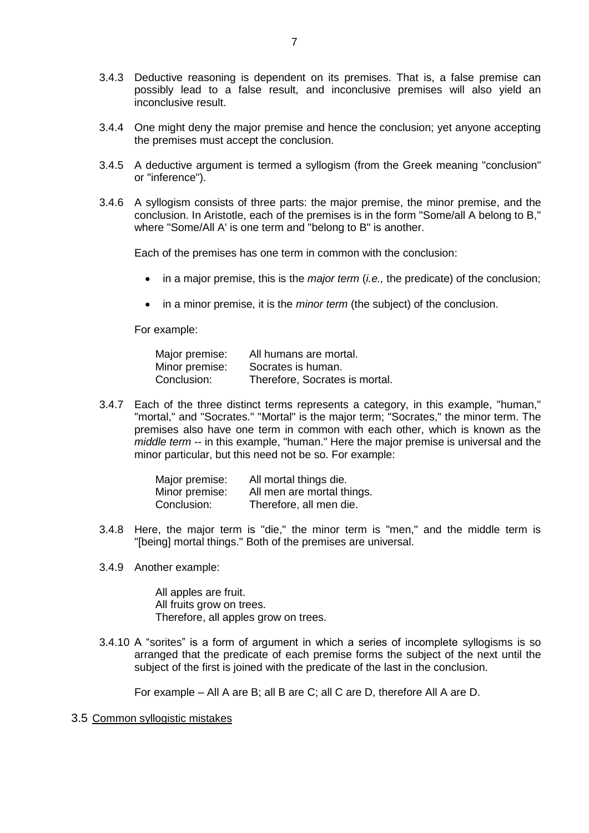- 3.4.3 Deductive reasoning is dependent on its premises. That is, a false premise can possibly lead to a false result, and inconclusive premises will also yield an inconclusive result.
- 3.4.4 One might deny the major premise and hence the conclusion; yet anyone accepting the premises must accept the conclusion.
- 3.4.5 A deductive argument is termed a syllogism (from the [Greek](http://en.wikipedia.org/wiki/Greek_language) meaning "conclusion" or "inference").
- 3.4.6 A syllogism consists of three parts: the major premise, the [minor premise,](http://en.wikipedia.org/w/index.php?title=Minor_premise&action=edit) and the conclusion. In Aristotle, each of the premises is in the form "Some/all A belong to B," where "Some/All A' is one term and "belong to B" is another.

Each of the premises has one term in common with the conclusion:

- in a major premise, this is the *major term* (*i.e.,* the [predicate\)](http://en.wikipedia.org/wiki/Predicate_%28logic%29) of the conclusion;
- in a minor premise, it is the *minor term* (the subject) of the conclusion.

For example:

| Major premise: | All humans are mortal.         |
|----------------|--------------------------------|
| Minor premise: | Socrates is human.             |
| Conclusion:    | Therefore, Socrates is mortal. |

3.4.7 Each of the three distinct terms represents a category, in this example, "human," "mortal," and "Socrates." "Mortal" is the major term; "Socrates," the minor term. The premises also have one term in common with each other, which is known as the *middle term* -- in this example, "human." Here the major premise is universal and the minor particular, but this need not be so. For example:

| Major premise: | All mortal things die.     |
|----------------|----------------------------|
| Minor premise: | All men are mortal things. |
| Conclusion:    | Therefore, all men die.    |

- 3.4.8 Here, the major term is "die," the minor term is "men," and the middle term is "[being] mortal things." Both of the premises are universal.
- 3.4.9 Another example:

All apples are fruit. All fruits grow on trees. Therefore, all apples grow on trees.

3.4.10 A ["sorites"](http://en.wikipedia.org/wiki/Sorites) is a form of argument in which a series of incomplete syllogisms is so arranged that the predicate of each premise forms the subject of the next until the subject of the first is joined with the predicate of the last in the conclusion.

For example – All A are B; all B are C; all C are D, therefore All A are D.

#### 3.5 Common syllogistic mistakes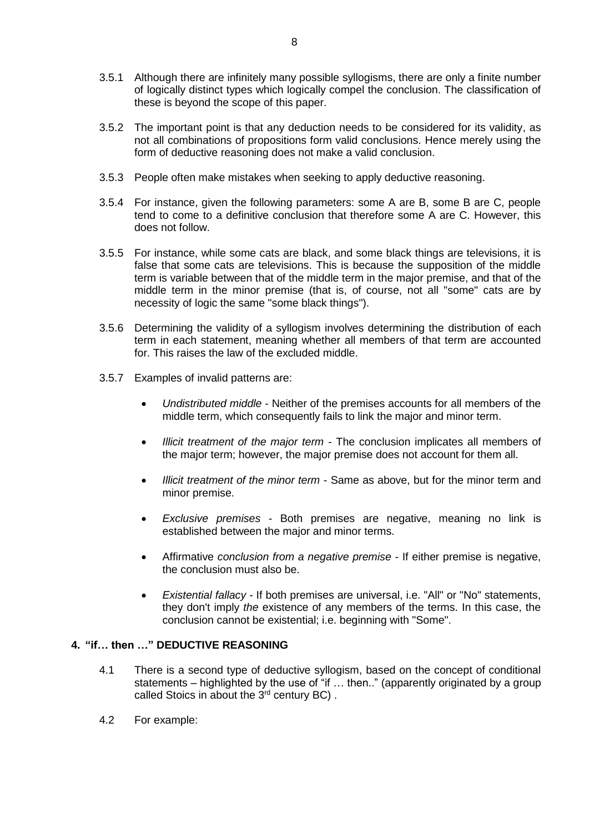- 3.5.1 Although there are infinitely many possible syllogisms, there are only a finite number of logically distinct types which logically compel the conclusion. The classification of these is beyond the scope of this paper.
- 3.5.2 The important point is that any deduction needs to be considered for its validity, as not all combinations of propositions form valid conclusions. Hence merely using the form of deductive reasoning does not make a valid conclusion.
- 3.5.3 People often make mistakes when seeking to apply deductive reasoning.
- 3.5.4 For instance, given the following parameters: some A are B, some B are C, people tend to come to a definitive conclusion that therefore some A are C. However, this does not follow.
- 3.5.5 For instance, while some cats are black, and some black things are televisions, it is false that some cats are televisions. This is because the supposition of the middle term is variable between that of the middle term in the major premise, and that of the middle term in the minor premise (that is, of course, not all "some" cats are by necessity of logic the same "some black things").
- 3.5.6 Determining the validity of a syllogism involves determining the [distribution](http://en.wikipedia.org/wiki/Distribution_of_terms) of each term in each statement, meaning whether all members of that term are accounted for. This raises the law of the excluded middle.
- 3.5.7 Examples of invalid patterns are:
	- *[Undistributed middle](http://en.wikipedia.org/wiki/Fallacy_of_the_undistributed_middle)* Neither of the premises accounts for all members of the middle term, which consequently fails to link the major and minor term.
	- *[Illicit treatment of the major term](http://en.wikipedia.org/wiki/Illicit_major)* The conclusion implicates all members of the major term; however, the major premise does not account for them all.
	- *[Illicit treatment of the minor term](http://en.wikipedia.org/wiki/Illicit_minor)* Same as above, but for the minor term and minor premise.
	- *[Exclusive premises](http://en.wikipedia.org/wiki/Fallacy_of_exclusive_premises)* Both premises are negative, meaning no link is established between the major and minor terms.
	- Affirmative *[conclusion from a negative premise](http://en.wikipedia.org/wiki/Affirmative_conclusion_from_a_negative_premise)* If either premise is negative, the conclusion must also be.
	- *[Existential fallacy](http://en.wikipedia.org/wiki/Existential_fallacy)* If both premises are universal, i.e. "All" or "No" statements, they don't imply *the* existence of any members of the terms. In this case, the conclusion cannot be existential; i.e. beginning with "Some".

# **4. "if… then …" DEDUCTIVE REASONING**

- 4.1 There is a second type of deductive syllogism, based on the concept of conditional statements – highlighted by the use of "if ... then.." (apparently originated by a group called Stoics in about the 3<sup>rd</sup> century BC).
- 4.2 For example: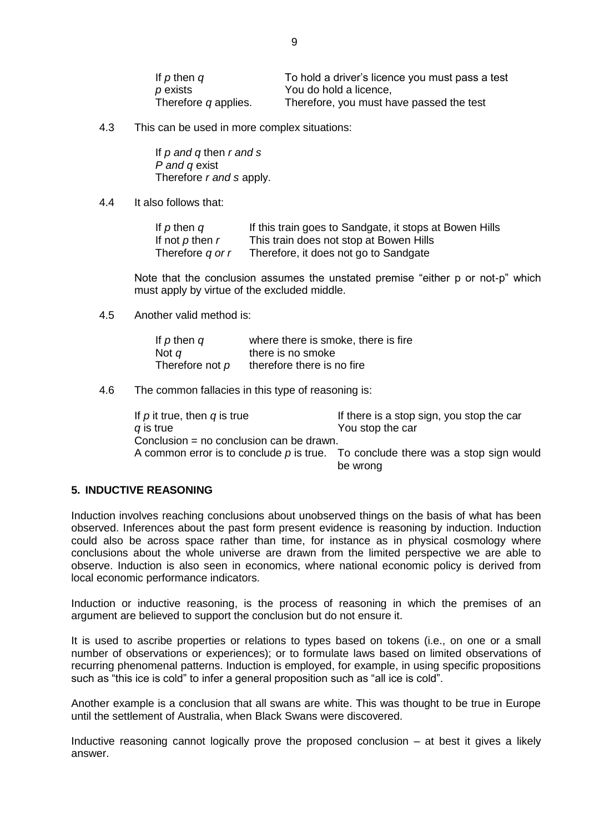| If $p$ then $q$      | To hold a driver's licence you must pass a test |
|----------------------|-------------------------------------------------|
| $p$ exists           | You do hold a licence,                          |
| Therefore q applies. | Therefore, you must have passed the test        |

4.3 This can be used in more complex situations:

If *p and q* then *r and s P and q* exist Therefore *r and s* apply.

4.4 It also follows that:

| If $p$ then $q$      | If this train goes to Sandgate, it stops at Bowen Hills |
|----------------------|---------------------------------------------------------|
| If not $p$ then $r$  | This train does not stop at Bowen Hills                 |
| Therefore $q$ or $r$ | Therefore, it does not go to Sandgate                   |

Note that the conclusion assumes the unstated premise "either p or not-p" which must apply by virtue of the excluded middle.

4.5 Another valid method is:

| If $p$ then $q$ | where there is smoke, there is fire |
|-----------------|-------------------------------------|
| Not $q$         | there is no smoke                   |
| Therefore not p | therefore there is no fire          |

4.6 The common fallacies in this type of reasoning is:

| If $p$ it true, then $q$ is true<br>q is true | If there is a stop sign, you stop the car<br>You stop the car                      |
|-----------------------------------------------|------------------------------------------------------------------------------------|
| Conclusion = no conclusion can be drawn.      |                                                                                    |
|                                               | A common error is to conclude $p$ is true. To conclude there was a stop sign would |
|                                               | be wrong                                                                           |

# **5. INDUCTIVE REASONING**

Induction involves reaching conclusions about unobserved things on the basis of what has been observed. Inferences about the past form present evidence is reasoning by induction. Induction could also be across space rather than time, for instance as in [physical cosmology](http://en.wikipedia.org/wiki/Physical_cosmology) where conclusions about the whole universe are drawn from the limited perspective we are able to observe. Induction is also seen in [economics,](http://en.wikipedia.org/wiki/Economics) where national economic policy is derived from local economic performance indicators.

Induction or inductive reasoning, is the process of [reasoning](http://en.wikipedia.org/wiki/Reasoning) in which the premises of an argument are believed to support the conclusion but do not ensure it.

It is used to ascribe [properties or relations](http://en.wikipedia.org/wiki/Category_of_being) to [types](http://en.wikipedia.org/wiki/Type_%28metaphysics%29) based on [tokens](http://en.wikipedia.org/wiki/Tokens) (i.e., on one or a small number of observations or experiences); or to formulate [laws](http://en.wikipedia.org/wiki/Law_%28principle%29) based on limited observations of recurring [phenomenal](http://en.wikipedia.org/wiki/Phenomena) patterns. Induction is employed, for example, in using specific propositions such as "this ice is cold" to infer a general proposition such as "all ice is cold".

Another example is a conclusion that all swans are white. This was thought to be true in Europe until the settlement of Australia, when [Black Swans](http://en.wikipedia.org/wiki/Black_Swan) were discovered.

Inductive reasoning cannot logically prove the proposed conclusion – at best it gives a likely answer.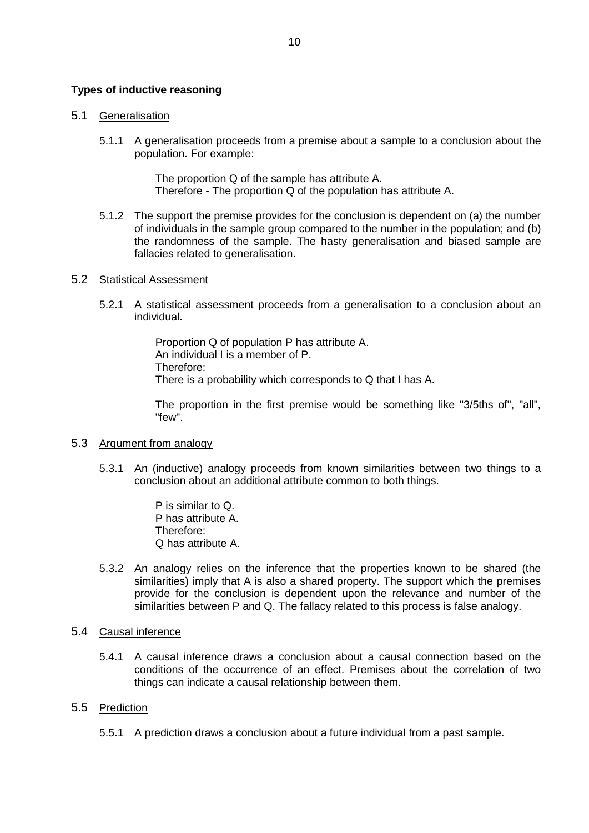# **Types of inductive reasoning**

#### 5.1 Generalisation

5.1.1 A generalisation proceeds from a premise about a [sample](http://en.wikipedia.org/wiki/Statistical_sample) to a conclusion about the [population.](http://en.wikipedia.org/wiki/Statistical_population) For example:

> The proportion Q of the sample has attribute A. Therefore - The proportion Q of the population has attribute A.

5.1.2 The support the premise provides for the conclusion is dependent on (a) the number of individuals in the sample group compared to the number in the population; and (b) the randomness of the sample. The [hasty generalisation](http://en.wikipedia.org/wiki/Hasty_generalization) and [biased sample](http://en.wikipedia.org/wiki/Biased_sample) are fallacies related to generalisation.

#### 5.2 Statistical Assessment

5.2.1 A statistical assessment proceeds from a generalisation to a conclusion about an individual.

> Proportion Q of population P has attribute A. An individual I is a member of P. Therefore: There is a probability which corresponds to Q that I has A.

The proportion in the first premise would be something like "3/5ths of", "all", "few".

#### 5.3 Argument from analogy

5.3.1 An (inductive) [analogy](http://en.wikipedia.org/wiki/Analogy) proceeds from known similarities between two things to a conclusion about an additional attribute common to both things.

> P is similar to Q. P has attribute A. Therefore: Q has attribute A.

5.3.2 An analogy relies on the inference that the properties known to be shared (the similarities) imply that A is also a shared property. The support which the premises provide for the conclusion is dependent upon the relevance and number of the similarities between P and Q. The fallacy related to this process is [false analogy.](http://en.wikipedia.org/wiki/False_analogy)

#### 5.4 Causal inference

5.4.1 A causal inference draws a conclusion about a causal connection based on the conditions of the occurrence of an effect. Premises about the correlation of two things can indicate a causal relationship between them.

#### 5.5 Prediction

5.5.1 A prediction draws a conclusion about a future individual from a past sample.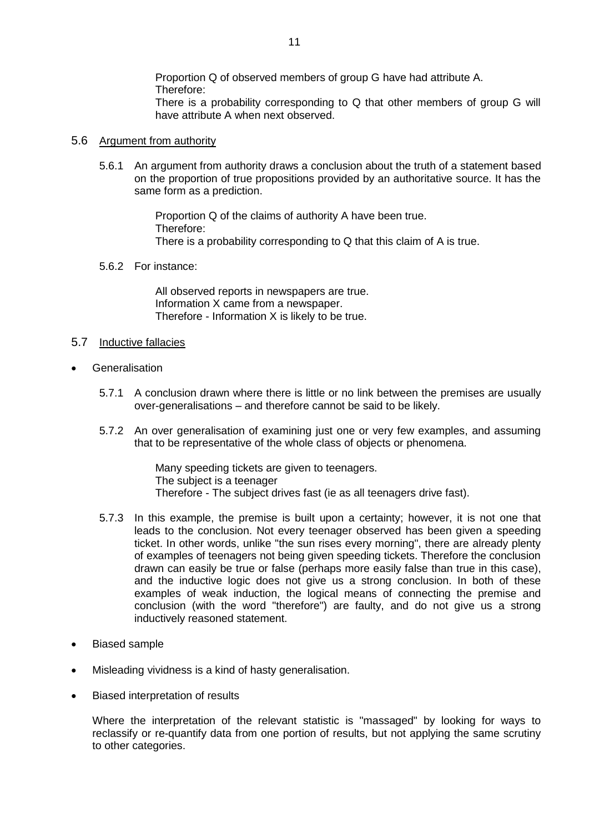Proportion Q of observed members of group G have had attribute A. Therefore:

There is a probability corresponding to Q that other members of group G will have attribute A when next observed.

#### 5.6 Argument from authority

5.6.1 An argument from authority draws a conclusion about the truth of a statement based on the proportion of true propositions provided by an authoritative source. It has the same form as a prediction.

> Proportion Q of the claims of authority A have been true. Therefore: There is a probability corresponding to Q that this claim of A is true.

5.6.2 For instance:

All observed reports in newspapers are true. Information X came from a newspaper. Therefore - Information X is likely to be true.

#### 5.7 Inductive fallacies

- **Generalisation** 
	- 5.7.1 A conclusion drawn where there is little or no link between the premises are usually over-generalisations – and therefore cannot be said to be likely.
	- 5.7.2 An over generalisation of examining just one or very few examples, and assuming that to be representative of the whole class of objects or phenomena.

Many speeding tickets are given to teenagers. The subject is a teenager Therefore - The subject drives fast (ie as all teenagers drive fast).

- 5.7.3 In this example, the premise is built upon a certainty; however, it is not one that leads to the conclusion. Not every teenager observed has been given a speeding ticket. In other words, unlike "the sun rises every morning", there are already plenty of examples of teenagers not being given speeding tickets. Therefore the conclusion drawn can easily be true or false (perhaps more easily false than true in this case), and the inductive logic does not give us a strong conclusion. In both of these examples of weak induction, the logical means of connecting the premise and conclusion (with the word "therefore") are faulty, and do not give us a strong inductively reasoned statement.
- [Biased sample](http://en.wikipedia.org/wiki/Biased_sample)
- [Misleading vividness](http://en.wikipedia.org/wiki/Misleading_vividness) is a kind of hasty generalisation.
- Biased interpretation of results

Where the interpretation of the relevant statistic is "massaged" by looking for ways to reclassify or re-quantify data from one portion of results, but not applying the same scrutiny to other categories.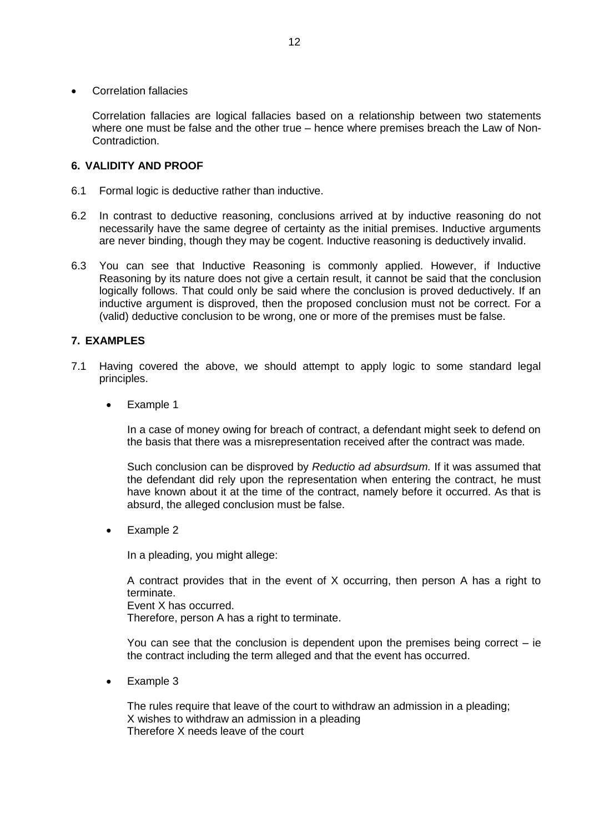Correlation fallacies

Correlation fallacies are [logical fallacies](http://en.wikipedia.org/wiki/Logical_fallacy) based on a relationship between two statements where one must be false and the other true – hence where premises breach the Law of Non-Contradiction.

# **6. VALIDITY AND PROOF**

- 6.1 Formal logic is deductive rather than inductive.
- 6.2 In contrast to [deductive reasoning,](http://en.wikipedia.org/wiki/Deductive_reasoning) conclusions arrived at by inductive reasoning do not necessarily have the same degree of certainty as the initial premises. Inductive arguments are never [binding,](http://en.wikipedia.org/wiki/Validity) though they may be [cogent.](http://en.wikipedia.org/wiki/Cogency) Inductive reasoning is deductively invalid.
- 6.3 You can see that Inductive Reasoning is commonly applied. However, if Inductive Reasoning by its nature does not give a certain result, it cannot be said that the conclusion logically follows. That could only be said where the conclusion is proved deductively. If an inductive argument is disproved, then the proposed conclusion must not be correct. For a (valid) deductive conclusion to be wrong, one or more of the premises must be false.

# **7. EXAMPLES**

- 7.1 Having covered the above, we should attempt to apply logic to some standard legal principles.
	- Example 1

In a case of money owing for breach of contract, a defendant might seek to defend on the basis that there was a misrepresentation received after the contract was made.

Such conclusion can be disproved by *Reductio ad absurdsum.* If it was assumed that the defendant did rely upon the representation when entering the contract, he must have known about it at the time of the contract, namely before it occurred. As that is absurd, the alleged conclusion must be false.

Example 2

In a pleading, you might allege:

A contract provides that in the event of X occurring, then person A has a right to terminate.

Event X has occurred.

Therefore, person A has a right to terminate.

You can see that the conclusion is dependent upon the premises being correct  $-$  ie the contract including the term alleged and that the event has occurred.

• Example 3

The rules require that leave of the court to withdraw an admission in a pleading; X wishes to withdraw an admission in a pleading Therefore X needs leave of the court